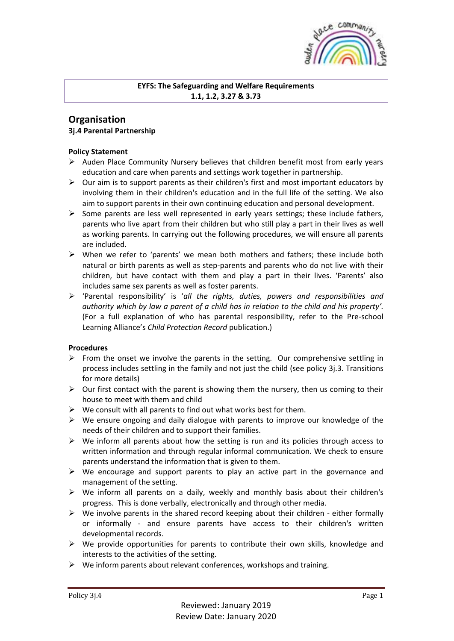

### **EYFS: The Safeguarding and Welfare Requirements 1.1, 1.2, 3.27 & 3.73**

# **Organisation 3j.4 Parental Partnership**

### **Policy Statement**

- $\triangleright$  Auden Place Community Nursery believes that children benefit most from early years education and care when parents and settings work together in partnership.
- $\triangleright$  Our aim is to support parents as their children's first and most important educators by involving them in their children's education and in the full life of the setting. We also aim to support parents in their own continuing education and personal development.
- $\triangleright$  Some parents are less well represented in early years settings; these include fathers, parents who live apart from their children but who still play a part in their lives as well as working parents. In carrying out the following procedures, we will ensure all parents are included.
- $\triangleright$  When we refer to 'parents' we mean both mothers and fathers; these include both natural or birth parents as well as step-parents and parents who do not live with their children, but have contact with them and play a part in their lives. 'Parents' also includes same sex parents as well as foster parents.
- 'Parental responsibility' is '*all the rights, duties, powers and responsibilities and authority which by law a parent of a child has in relation to the child and his property'.*  (For a full explanation of who has parental responsibility, refer to the Pre-school Learning Alliance's *Child Protection Record* publication.)

## **Procedures**

- $\triangleright$  From the onset we involve the parents in the setting. Our comprehensive settling in process includes settling in the family and not just the child (see policy 3j.3. Transitions for more details)
- $\triangleright$  Our first contact with the parent is showing them the nursery, then us coming to their house to meet with them and child
- $\triangleright$  We consult with all parents to find out what works best for them.
- $\triangleright$  We ensure ongoing and daily dialogue with parents to improve our knowledge of the needs of their children and to support their families.
- $\triangleright$  We inform all parents about how the setting is run and its policies through access to written information and through regular informal communication. We check to ensure parents understand the information that is given to them.
- $\triangleright$  We encourage and support parents to play an active part in the governance and management of the setting.
- $\triangleright$  We inform all parents on a daily, weekly and monthly basis about their children's progress. This is done verbally, electronically and through other media.
- $\triangleright$  We involve parents in the shared record keeping about their children either formally or informally - and ensure parents have access to their children's written developmental records.
- $\triangleright$  We provide opportunities for parents to contribute their own skills, knowledge and interests to the activities of the setting.
- $\triangleright$  We inform parents about relevant conferences, workshops and training.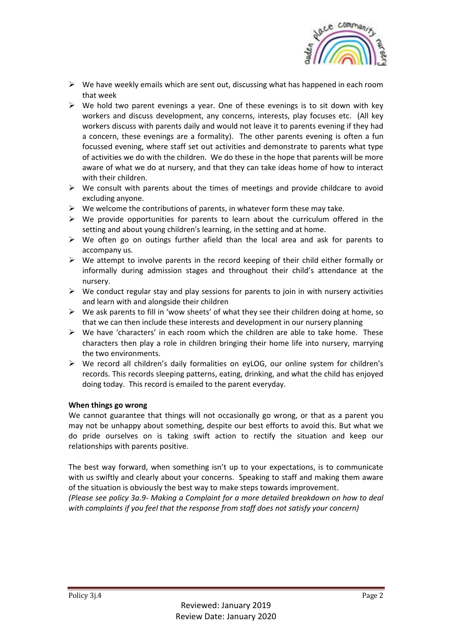

- $\triangleright$  We have weekly emails which are sent out, discussing what has happened in each room that week
- $\triangleright$  We hold two parent evenings a year. One of these evenings is to sit down with key workers and discuss development, any concerns, interests, play focuses etc. (All key workers discuss with parents daily and would not leave it to parents evening if they had a concern, these evenings are a formality). The other parents evening is often a fun focussed evening, where staff set out activities and demonstrate to parents what type of activities we do with the children. We do these in the hope that parents will be more aware of what we do at nursery, and that they can take ideas home of how to interact with their children.
- $\triangleright$  We consult with parents about the times of meetings and provide childcare to avoid excluding anyone.
- $\triangleright$  We welcome the contributions of parents, in whatever form these may take.
- $\triangleright$  We provide opportunities for parents to learn about the curriculum offered in the setting and about young children's learning, in the setting and at home.
- $\triangleright$  We often go on outings further afield than the local area and ask for parents to accompany us.
- $\triangleright$  We attempt to involve parents in the record keeping of their child either formally or informally during admission stages and throughout their child's attendance at the nursery.
- $\triangleright$  We conduct regular stay and play sessions for parents to join in with nursery activities and learn with and alongside their children
- $\triangleright$  We ask parents to fill in 'wow sheets' of what they see their children doing at home, so that we can then include these interests and development in our nursery planning
- $\triangleright$  We have 'characters' in each room which the children are able to take home. These characters then play a role in children bringing their home life into nursery, marrying the two environments.
- We record all children's daily formalities on eyLOG, our online system for children's records. This records sleeping patterns, eating, drinking, and what the child has enjoyed doing today. This record is emailed to the parent everyday.

#### **When things go wrong**

We cannot guarantee that things will not occasionally go wrong, or that as a parent you may not be unhappy about something, despite our best efforts to avoid this. But what we do pride ourselves on is taking swift action to rectify the situation and keep our relationships with parents positive.

The best way forward, when something isn't up to your expectations, is to communicate with us swiftly and clearly about your concerns. Speaking to staff and making them aware of the situation is obviously the best way to make steps towards improvement.

*(Please see policy 3a.9- Making a Complaint for a more detailed breakdown on how to deal with complaints if you feel that the response from staff does not satisfy your concern)*